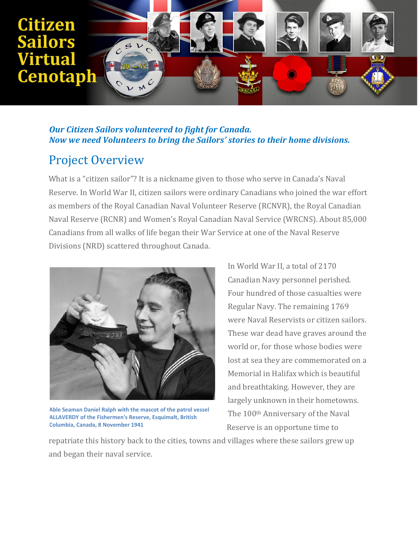

#### *Our Citizen Sailors volunteered to fight for Canada. Now we need Volunteers to bring the Sailors' stories to their home divisions.*

## Project Overview

What is a "citizen sailor"? It is a nickname given to those who serve in Canada's Naval Reserve. In World War II, citizen sailors were ordinary Canadians who joined the war effort as members of the Royal Canadian Naval Volunteer Reserve (RCNVR), the Royal Canadian Naval Reserve (RCNR) and Women's Royal Canadian Naval Service (WRCNS). About 85,000 Canadians from all walks of life began their War Service at one of the Naval Reserve Divisions (NRD) scattered throughout Canada.



**Able Seaman Daniel Ralph with the mascot of the patrol vessel ALLAVERDY of the Fishermen's Reserve, Esquimalt, British Columbia, Canada, 8 November 1941**

In World War II, a total of 2170 Canadian Navy personnel perished. Four hundred of those casualties were Regular Navy. The remaining 1769 were Naval Reservists or citizen sailors. These war dead have graves around the world or, for those whose bodies were lost at sea they are commemorated on a Memorial in Halifax which is beautiful and breathtaking. However, they are largely unknown in their hometowns. The 100th Anniversary of the Naval Reserve is an opportune time to

repatriate this history back to the cities, towns and villages where these sailors grew up and began their naval service.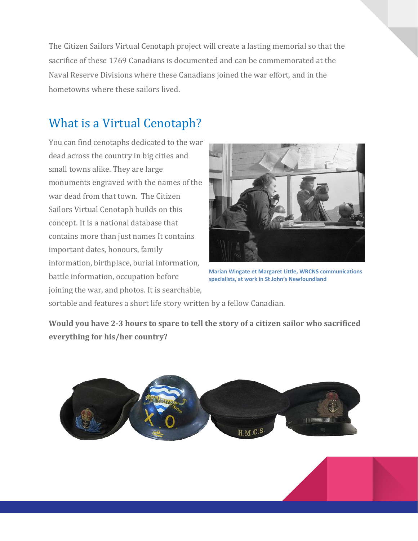The Citizen Sailors Virtual Cenotaph project will create a lasting memorial so that the sacrifice of these 1769 Canadians is documented and can be commemorated at the Naval Reserve Divisions where these Canadians joined the war effort, and in the hometowns where these sailors lived.

## What is a Virtual Cenotaph?

You can find cenotaphs dedicated to the war dead across the country in big cities and small towns alike. They are large monuments engraved with the names of the war dead from that town. The Citizen Sailors Virtual Cenotaph builds on this concept. It is a national database that contains more than just names It contains important dates, honours, family information, birthplace, burial information, battle information, occupation before joining the war, and photos. It is searchable,



**Marian Wingate et Margaret Little, WRCNS communications specialists, at work in St John's Newfoundland**

sortable and features a short life story written by a fellow Canadian.

**Would you have 2-3 hours to spare to tell the story of a citizen sailor who sacrificed everything for his/her country?**

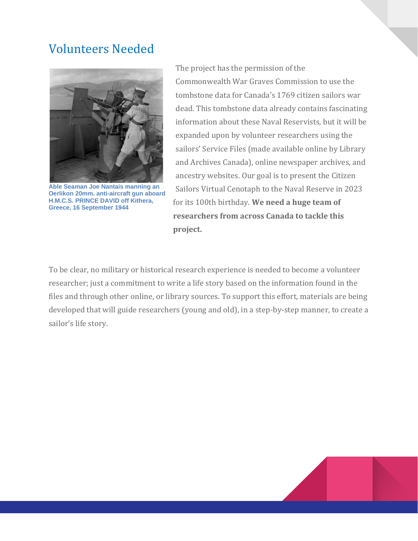## Volunteers Needed



**Able Seaman Joe Nantais manning an Oerlikon 20mm. anti-aircraft gun aboard H.M.C.S. PRINCE DAVID off Kithera, Greece, 16 September 1944**

The project has the permission of the Commonwealth War Graves Commission to use the tombstone data for Canada's 1769 citizen sailors war dead. This tombstone data already contains fascinating information about these Naval Reservists, but it will be expanded upon by volunteer researchers using the sailors' Service Files (made available online by Library and Archives Canada), online newspaper archives, and ancestry websites. Our goal is to present the Citizen Sailors Virtual Cenotaph to the Naval Reserve in 2023 for its 100th birthday. **We need a huge team of researchers from across Canada to tackle this project.** 

To be clear, no military or historical research experience is needed to become a volunteer researcher; just a commitment to write a life story based on the information found in the files and through other online, or library sources. To support this effort, materials are being developed that will guide researchers (young and old), in a step-by-step manner, to create a sailor's life story.